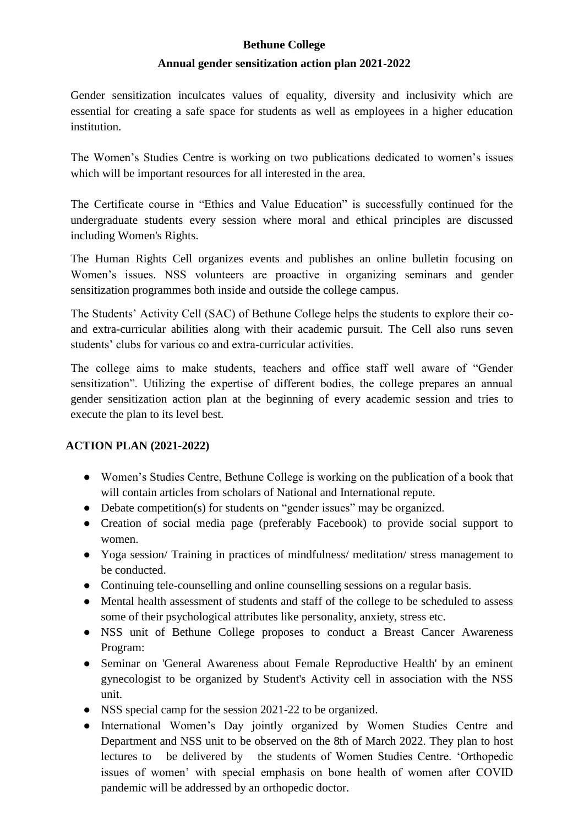## **Bethune College**

## **Annual gender sensitization action plan 2021-2022**

Gender sensitization inculcates values of equality, diversity and inclusivity which are essential for creating a safe space for students as well as employees in a higher education institution.

The Women's Studies Centre is working on two publications dedicated to women's issues which will be important resources for all interested in the area.

The Certificate course in "Ethics and Value Education" is successfully continued for the undergraduate students every session where moral and ethical principles are discussed including Women's Rights.

The Human Rights Cell organizes events and publishes an online bulletin focusing on Women's issues. NSS volunteers are proactive in organizing seminars and gender sensitization programmes both inside and outside the college campus.

The Students' Activity Cell (SAC) of Bethune College helps the students to explore their coand extra-curricular abilities along with their academic pursuit. The Cell also runs seven students' clubs for various co and extra-curricular activities.

The college aims to make students, teachers and office staff well aware of "Gender sensitization". Utilizing the expertise of different bodies, the college prepares an annual gender sensitization action plan at the beginning of every academic session and tries to execute the plan to its level best.

## **ACTION PLAN (2021-2022)**

- Women's Studies Centre, Bethune College is working on the publication of a book that will contain articles from scholars of National and International repute.
- Debate competition(s) for students on "gender issues" may be organized.
- Creation of social media page (preferably Facebook) to provide social support to women.
- Yoga session/ Training in practices of mindfulness/ meditation/ stress management to be conducted.
- Continuing tele-counselling and online counselling sessions on a regular basis.
- Mental health assessment of students and staff of the college to be scheduled to assess some of their psychological attributes like personality, anxiety, stress etc.
- NSS unit of Bethune College proposes to conduct a Breast Cancer Awareness Program:
- Seminar on 'General Awareness about Female Reproductive Health' by an eminent gynecologist to be organized by Student's Activity cell in association with the NSS unit.
- NSS special camp for the session 2021-22 to be organized.
- International Women's Day jointly organized by Women Studies Centre and Department and NSS unit to be observed on the 8th of March 2022. They plan to host lectures to be delivered by the students of Women Studies Centre. 'Orthopedic issues of women' with special emphasis on bone health of women after COVID pandemic will be addressed by an orthopedic doctor.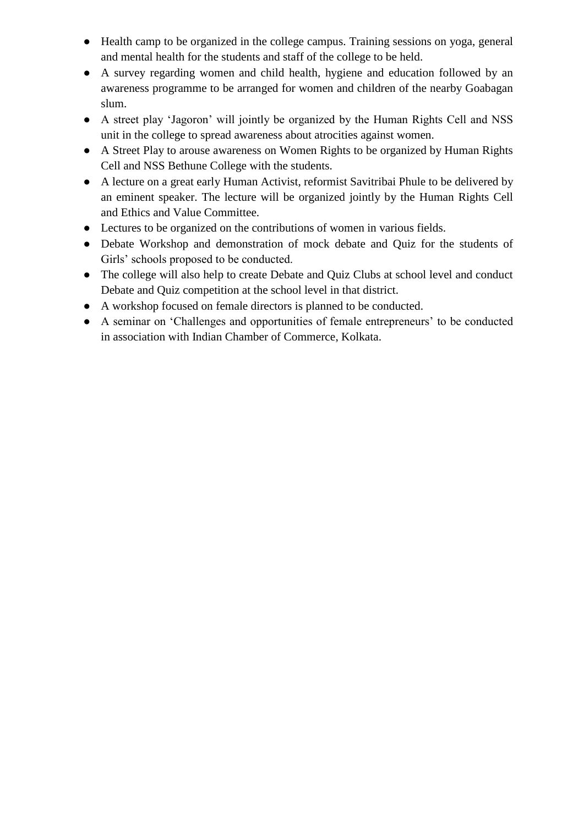- Health camp to be organized in the college campus. Training sessions on yoga, general and mental health for the students and staff of the college to be held.
- A survey regarding women and child health, hygiene and education followed by an awareness programme to be arranged for women and children of the nearby Goabagan slum.
- A street play 'Jagoron' will jointly be organized by the Human Rights Cell and NSS unit in the college to spread awareness about atrocities against women.
- A Street Play to arouse awareness on Women Rights to be organized by Human Rights Cell and NSS Bethune College with the students.
- A lecture on a great early Human Activist, reformist Savitribai Phule to be delivered by an eminent speaker. The lecture will be organized jointly by the Human Rights Cell and Ethics and Value Committee.
- Lectures to be organized on the contributions of women in various fields.
- Debate Workshop and demonstration of mock debate and Quiz for the students of Girls' schools proposed to be conducted.
- The college will also help to create Debate and Quiz Clubs at school level and conduct Debate and Quiz competition at the school level in that district.
- A workshop focused on female directors is planned to be conducted.
- A seminar on 'Challenges and opportunities of female entrepreneurs' to be conducted in association with Indian Chamber of Commerce, Kolkata.